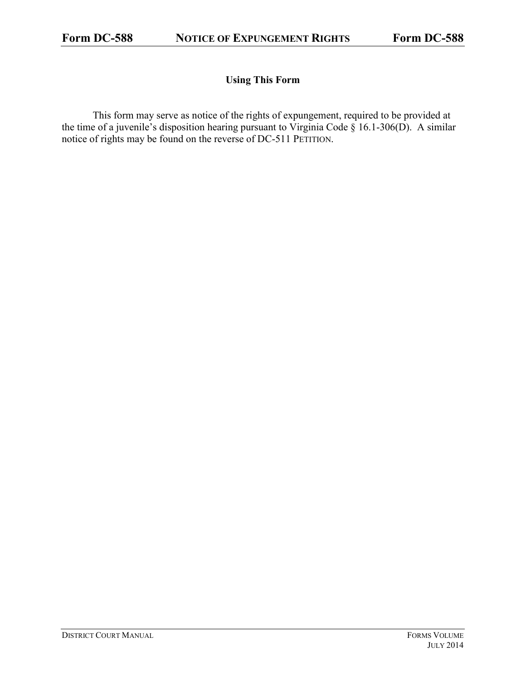## **Using This Form**

This form may serve as notice of the rights of expungement, required to be provided at the time of a juvenile's disposition hearing pursuant to Virginia Code  $\S$  16.1-306(D). A similar notice of rights may be found on the reverse of DC-511 PETITION.